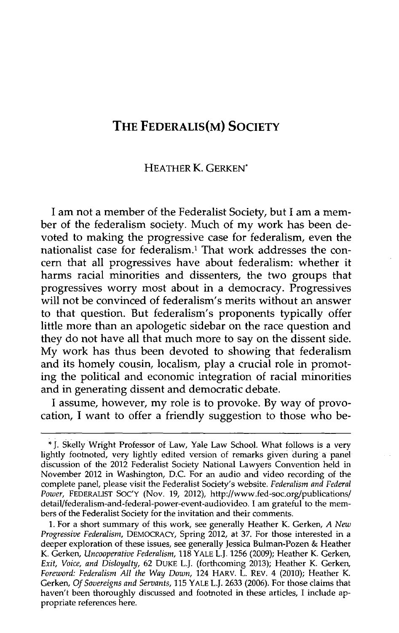## **THE FEDERALIS(M) SOCIETY**

## HEATHER K. GERKEN\*

**I** am not a member of the Federalist Society, but **I** am a member of the federalism society. Much of my work has been devoted to making the progressive case for federalism, even the nationalist case for federalism.' That work addresses the concern that all progressives have about federalism: whether it harms racial minorities and dissenters, the two groups that progressives worry most about in a democracy. Progressives will not be convinced of federalism's merits without an answer to that question. But federalism's proponents typically offer little more than an apologetic sidebar on the race question and they do not have all that much more to say on the dissent side. **My** work has thus been devoted to showing that federalism and its homely cousin, localism, play a crucial role in promoting the political and economic integration of racial minorities and in generating dissent and democratic debate.

**I** assume, however, my role is to provoke. **By** way of provocation, **I** want to offer a friendly suggestion to those who be-

**<sup>\*</sup> J.** Skelly Wright Professor of Law, Yale Law School. What follows is a very lightly footnoted, very lightly edited version of remarks given during a panel discussion of the 2012 Federalist Society National Lawyers Convention held in November 2012 in Washington, **D.C.** For an audio and video recording of the complete panel, please visit the Federalist Society's website. *Federalism and Federal Power,* FEDERALIST **SOC'Y** (Nov. **19,** 2012), http://www.fed-soc.org/publications/ detail/federalism-and-federal-power-event-audiovideo. **I** am grateful to the members of the Federalist Society for the invitation and their comments.

**<sup>1.</sup>** For a short summary of this work, see generally Heather K. Gerken, *A New Progressive Federalism,* DEMOCRACY, Spring 2012, at **37.** For those interested in a deeper exploration of these issues, see generally Jessica Bulman-Pozen **&** Heather K. Gerken, *Uncooperative Federalism,* **118** YALE L.J. **1256 (2009);** Heather K. Gerken, *Exit, Voice, and Disloyalty,* **62 DUKE** L.J. (forthcoming **2013);** Heather K. Gerken, *Foreword: Federalism All the Way Down,* 124 HARV. L. REV. 4 (2010); Heather K. Gerken, *Of Sovereigns and Servants,* **115** YALE L.J. **2633 (2006).** For those claims that haven't been thoroughly discussed and footnoted in these articles, I include appropriate references here.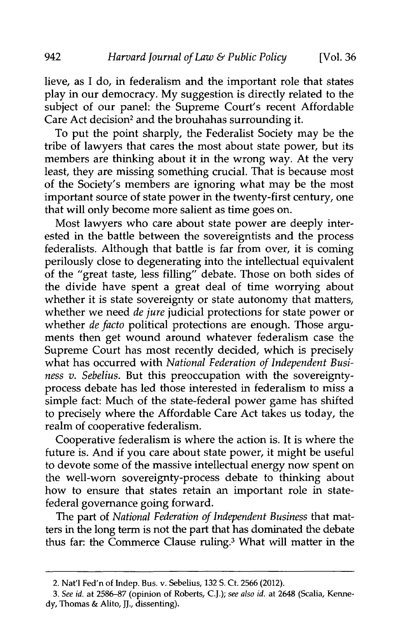lieve, as I do, in federalism and the important role that states play in our democracy. My suggestion is directly related to the subject of our panel: the Supreme Court's recent Affordable Care Act decision<sup>2</sup> and the brouhahas surrounding it.

To put the point sharply, the Federalist Society may be the tribe of lawyers that cares the most about state power, but its members are thinking about it in the wrong way. At the very least, they are missing something crucial. That is because most of the Society's members are ignoring what may be the most important source of state power in the twenty-first century, one that will only become more salient as time goes on.

Most lawyers who care about state power are deeply interested in the battle between the sovereigntists and the process federalists. Although that battle is far from over, it is coming perilously close to degenerating into the intellectual equivalent of the "great taste, less filling" debate. Those on both sides of the divide have spent a great deal of time worrying about whether it is state sovereignty or state autonomy that matters, whether we need *de jure* judicial protections for state power or whether *de facto* political protections are enough. Those arguments then get wound around whatever federalism case the Supreme Court has most recently decided, which is precisely what has occurred with *National Federation of Independent Business v. Sebelius.* But this preoccupation with the sovereigntyprocess debate has led those interested in federalism to miss a simple fact: Much of the state-federal power game has shifted to precisely where the Affordable Care Act takes us today, the realm of cooperative federalism.

Cooperative federalism is where the action is. It is where the future is. And if you care about state power, it might be useful to devote some of the massive intellectual energy now spent on the well-worn sovereignty-process debate to thinking about how to ensure that states retain an important role in statefederal governance going forward.

The part of *National Federation of Independent Business* that matters in the long term is not the part that has dominated the debate thus far: the Commerce Clause ruling.3 What will matter in the

<sup>2.</sup> Natl Fed'n of Indep. Bus. v. Sebelius, 132 S. Ct. 2566 (2012).

*<sup>3.</sup> See id.* at 2586-87 (opinion of Roberts, C.J.); *see also id.* at 2648 (Scalia, Kennedy, Thomas & Alito, **JJ.,** dissenting).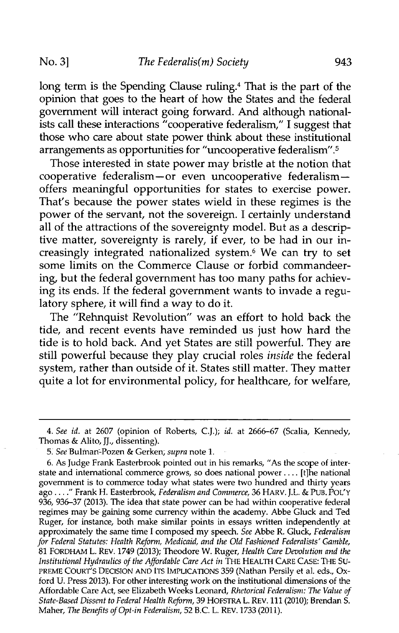long term is the Spending Clause ruling.<sup>4</sup> That is the part of the opinion that goes to the heart of how the States and the federal government will interact going forward. And although national-

ists call these interactions "cooperative federalism," I suggest that those who care about state power think about these institutional arrangements as opportunities for "uncooperative federalism".5

Those interested in state power may bristle at the notion that cooperative federalism $-\overline{or}$  even uncooperative federalism $$ offers meaningful opportunities for states to exercise power. That's because the power states wield in these regimes is the power of the servant, not the sovereign. I certainly understand all of the attractions of the sovereignty model. But as a descriptive matter, sovereignty is rarely, if ever, to be had in our increasingly integrated nationalized system.6 We can try to set some limits on the Commerce Clause or forbid commandeering, but the federal government has too many paths for achieving its ends. If the federal government wants to invade a regulatory sphere, it will find a way to do it.

The "Rehnquist Revolution" was an effort to hold back the tide, and recent events have reminded us just how hard the tide is to hold back. And yet States are still powerful. They are still powerful because they play crucial roles *inside* the federal system, rather than outside of it. States still matter. They matter quite a lot for environmental policy, for healthcare, for welfare,

*<sup>4.</sup> See id.* at 2607 (opinion of Roberts, C.J.); *id.* at 2666-67 (Scalia, Kennedy, Thomas & Alito, JL, dissenting).

<sup>5.</sup> *See* Bulman-Pozen & Gerken, *supra* note 1.

<sup>6.</sup> As Judge Frank Easterbrook pointed out in his remarks, "As the scope of interstate and international commerce grows, so does national power .... [t]he national government is to commerce today what states were two hundred and thirty years ago...." Frank H. Easterbrook, *Federalism and Commerce,* 36 HARV. J.L. & PUB. POL'Y 936, 936-37 (2013). The idea that state power can be had within cooperative federal regimes may be gaining some currency within the academy. Abbe Gluck and Ted Ruger, for instance, both make similar points in essays written independently at approximately the same time I composed my speech. *See* Abbe R. Gluck, *Federalism for Federal Statutes: Health Reform, Medicaid, and the Old Fashioned Federalists' Gamble,* 81 FORDHAM L. REV. 1749 (2013); Theodore W. Ruger, *Health Care Devolution and the Institutional Hydraulics of the Affordable Care Act in* THE HEALTH CARE CASE: THE **SU-**PREME COURT'S DECISION **AND ITS** IMPLICATIONS 359 (Nathan Persily et al. eds., Oxford U. Press 2013). For other interesting work on the institutional dimensions of the Affordable Care Act, see Elizabeth Weeks Leonard, *Rhetorical Federalism: The Value of State-Based Dissent to Federal Health Reform,* 39 HOFSTRA L. REV. 111 (2010); Brendan S. Maher, *The Benefits of Opt-in Federalism,* 52 B.C. L. REV. 1733 (2011).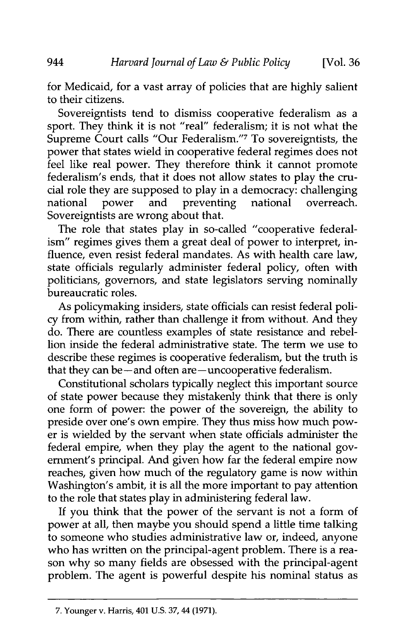for Medicaid, for a vast array of policies that are highly salient to their citizens.

Sovereigntists tend to dismiss cooperative federalism as a sport. They think it is not "real" federalism; it is not what the Supreme Court calls "Our Federalism."<sup>7</sup> To sovereigntists, the power that states wield in cooperative federal regimes does not feel like real power. They therefore think it cannot promote federalism's ends, that it does not allow states to play the crucial role they are supposed to play in a democracy: challenging national power and preventing national overreach. Sovereigntists are wrong about that.

The role that states play in so-called "cooperative federalism" regimes gives them a great deal of power to interpret, influence, even resist federal mandates. As with health care law, state officials regularly administer federal policy, often with politicians, governors, and state legislators serving nominally bureaucratic roles.

As policymaking insiders, state officials can resist federal policy from within, rather than challenge it from without. And they do. There are countless examples of state resistance and rebellion inside the federal administrative state. The term we use to describe these regimes is cooperative federalism, but the truth is that they can be-and often are-uncooperative federalism.

Constitutional scholars typically neglect this important source of state power because they mistakenly think that there is only one form of power: the power of the sovereign, the ability to preside over one's own empire. They thus miss how much power is wielded by the servant when state officials administer the federal empire, when they play the agent to the national government's principal. And given how far the federal empire now reaches, given how much of the regulatory game is now within Washington's ambit, it is all the more important to pay attention to the role that states play in administering federal law.

If you think that the power of the servant is not a form of power at all, then maybe you should spend a little time talking to someone who studies administrative law or, indeed, anyone who has written on the principal-agent problem. There is a reason why so many fields are obsessed with the principal-agent problem. The agent is powerful despite his nominal status as

<sup>944</sup> 

<sup>7.</sup> Younger v. Harris, 401 U.S. 37,44 (1971).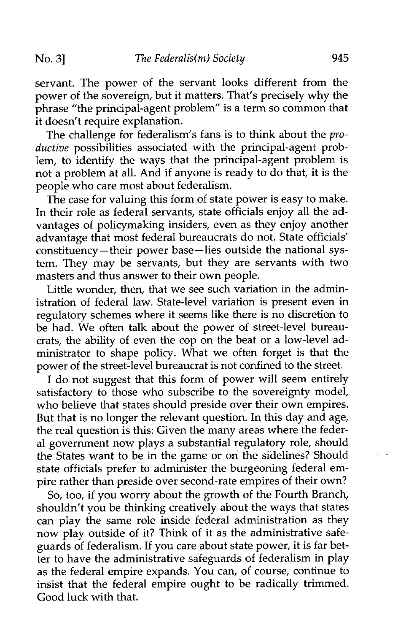servant. The power of the servant looks different from the power of the sovereign, but it matters. That's precisely why the phrase "the principal-agent problem" is a term so common that it doesn't require explanation.

The challenge for federalism's fans is to think about the *productive* possibilities associated with the principal-agent problem, to identify the ways that the principal-agent problem is not a problem at all. And if anyone is ready to do that, it is the people who care most about federalism.

The case for valuing this form of state power is easy to make. In their role as federal servants, state officials enjoy all the advantages of policymaking insiders, even as they enjoy another advantage that most federal bureaucrats do not. State officials' constituency- their power base-lies outside the national system. They may be servants, but they are servants with two masters and thus answer to their own people.

Little wonder, then, that we see such variation in the administration of federal law. State-level variation is present even in regulatory schemes where it seems like there is no discretion to be had. We often talk about the power of street-level bureaucrats, the ability of even the cop on the beat or a low-level administrator to shape policy. What we often forget is that the power of the street-level bureaucrat is not confined to the street.

I do not suggest that this form of power will seem entirely satisfactory to those who subscribe to the sovereignty model. who believe that states should preside over their own empires. But that is no longer the relevant question. In this day and age, the real question is this: Given the many areas where the federal government now plays a substantial regulatory role, should the States want to be in the game or on the sidelines? Should state officials prefer to administer the burgeoning federal empire rather than preside over second-rate empires of their own?

So, too, if you worry about the growth of the Fourth Branch, shouldn't you be thinking creatively about the ways that states can play the same role inside federal administration as they now play outside of it? Think of it as the administrative safeguards of federalism. If you care about state power, it is far better to have the administrative safeguards of federalism in play as the federal empire expands. You can, of course, continue to insist that the federal empire ought to be radically trimmed. Good luck with that.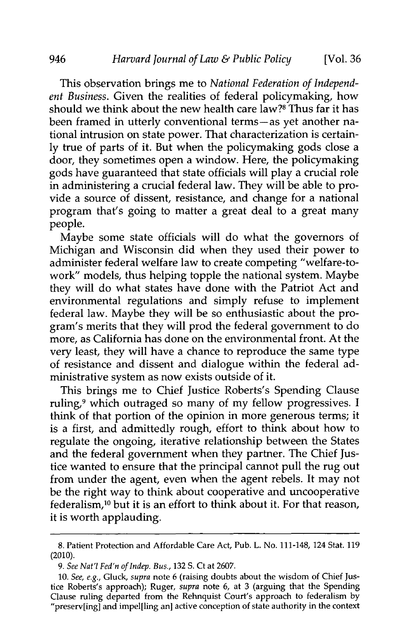This observation brings me to *National Federation of Independent Business.* Given the realities of federal policymaking, how should we think about the new health care law?<sup>8</sup> Thus far it has been framed in utterly conventional terms-as yet another national intrusion on state power. That characterization is certainly true of parts of it. But when the policymaking gods close a door, they sometimes open a window. Here, the policymaking gods have guaranteed that state officials will play a crucial role in administering a crucial federal law. They will be able to provide a source of dissent, resistance, and change for a national program that's going to matter a great deal to a great many people.

Maybe some state officials will do what the governors of Michigan and Wisconsin did when they used their power to administer federal welfare law to create competing "welfare-towork" models, thus helping topple the national system. Maybe they will do what states have done with the Patriot Act and environmental regulations and simply refuse to implement federal law. Maybe they will be so enthusiastic about the program's merits that they will prod the federal government to do more, as California has done on the environmental front. At the very least, they will have a chance to reproduce the same type of resistance and dissent and dialogue within the federal administrative system as now exists outside of it.

This brings me to Chief Justice Roberts's Spending Clause ruling,<sup>9</sup> which outraged so many of my fellow progressives. I think of that portion of the opinion in more generous terms; it is a first, and admittedly rough, effort to think about how to regulate the ongoing, iterative relationship between the States and the federal government when they partner. The Chief Justice wanted to ensure that the principal cannot pull the rug out from under the agent, even when the agent rebels. It may not be the right way to think about cooperative and uncooperative federalism, 10 but it is an effort to think about it. For that reason, it is worth applauding.

<sup>8.</sup> Patient Protection and Affordable Care Act, Pub. L. No. 111-148, 124 Stat. 119 (2010).

*<sup>9.</sup> See Nat'l Fed'n of Indep. Bus.,* **132** S. Ct at 2607.

<sup>10.</sup> *See, e.g.,* Gluck, *supra* note 6 (raising doubts about the wisdom of Chief Justice Roberts's approach); Ruger, *supra* note 6, at 3 (arguing that the Spending Clause ruling departed from the Rehnquist Court's approach to federalism by "preserv[ing] and impel[ling an] active conception of state authority in the context